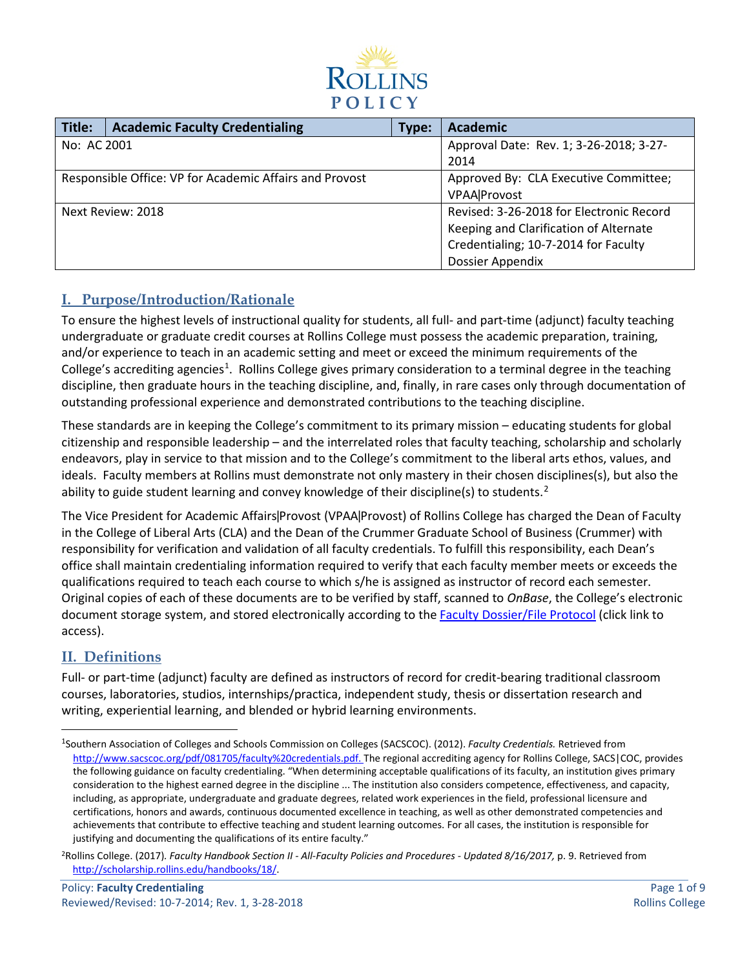

| Title:      | <b>Academic Faculty Credentialing</b>                   | Type: | <b>Academic</b>                          |
|-------------|---------------------------------------------------------|-------|------------------------------------------|
| No: AC 2001 |                                                         |       | Approval Date: Rev. 1; 3-26-2018; 3-27-  |
|             |                                                         |       | 2014                                     |
|             | Responsible Office: VP for Academic Affairs and Provost |       | Approved By: CLA Executive Committee;    |
|             |                                                         |       | <b>VPAA</b>  Provost                     |
|             | Next Review: 2018                                       |       | Revised: 3-26-2018 for Electronic Record |
|             |                                                         |       | Keeping and Clarification of Alternate   |
|             |                                                         |       | Credentialing; 10-7-2014 for Faculty     |
|             |                                                         |       | <b>Dossier Appendix</b>                  |

# **I. Purpose/Introduction/Rationale**

To ensure the highest levels of instructional quality for students, all full- and part-time (adjunct) faculty teaching undergraduate or graduate credit courses at Rollins College must possess the academic preparation, training, and/or experience to teach in an academic setting and meet or exceed the minimum requirements of the College's accrediting agencies<sup>[1](#page-0-0)</sup>. Rollins College gives primary consideration to a terminal degree in the teaching discipline, then graduate hours in the teaching discipline, and, finally, in rare cases only through documentation of outstanding professional experience and demonstrated contributions to the teaching discipline.

These standards are in keeping the College's commitment to its primary mission – educating students for global citizenship and responsible leadership – and the interrelated roles that faculty teaching, scholarship and scholarly endeavors, play in service to that mission and to the College's commitment to the liberal arts ethos, values, and ideals. Faculty members at Rollins must demonstrate not only mastery in their chosen disciplines(s), but also the ability to guide student learning and convey knowledge of their discipline(s) to students.<sup>[2](#page-0-1)</sup>

The Vice President for Academic Affairs | Provost (VPAA | Provost) of Rollins College has charged the Dean of Faculty in the College of Liberal Arts (CLA) and the Dean of the Crummer Graduate School of Business (Crummer) with responsibility for verification and validation of all faculty credentials. To fulfill this responsibility, each Dean's office shall maintain credentialing information required to verify that each faculty member meets or exceeds the qualifications required to teach each course to which s/he is assigned as instructor of record each semester. Original copies of each of these documents are to be verified by staff, scanned to *OnBase*, the College's electronic document storage system, and stored electronically according to the **Faculty Dossier/File Protocol** (click link to access).

# **II. Definitions**

Full- or part-time (adjunct) faculty are defined as instructors of record for credit-bearing traditional classroom courses, laboratories, studios, internships/practica, independent study, thesis or dissertation research and writing, experiential learning, and blended or hybrid learning environments.

<span id="page-0-0"></span> $\overline{1}$ <sup>1</sup>Southern Association of Colleges and Schools Commission on Colleges (SACSCOC). (2012). *Faculty Credentials*. Retrieved from [http://www.sacscoc.org/pdf/081705/faculty%20credentials.pdf.](http://www.sacscoc.org/pdf/081705/faculty%20credentials.pdf) The regional accrediting agency for Rollins College, SACS|COC, provides the following guidance on faculty credentialing. "When determining acceptable qualifications of its faculty, an institution gives primary consideration to the highest earned degree in the discipline ... The institution also considers competence, effectiveness, and capacity, including, as appropriate, undergraduate and graduate degrees, related work experiences in the field, professional licensure and certifications, honors and awards, continuous documented excellence in teaching, as well as other demonstrated competencies and achievements that contribute to effective teaching and student learning outcomes. For all cases, the institution is responsible for justifying and documenting the qualifications of its entire faculty."

<span id="page-0-1"></span><sup>2</sup>Rollins College. (2017)*. Faculty Handbook Section II - All-Faculty Policies and Procedures - Updated 8/16/2017,* p. 9. Retrieved from [http://scholarship.rollins.edu/handbooks/18/.](http://scholarship.rollins.edu/handbooks/18/)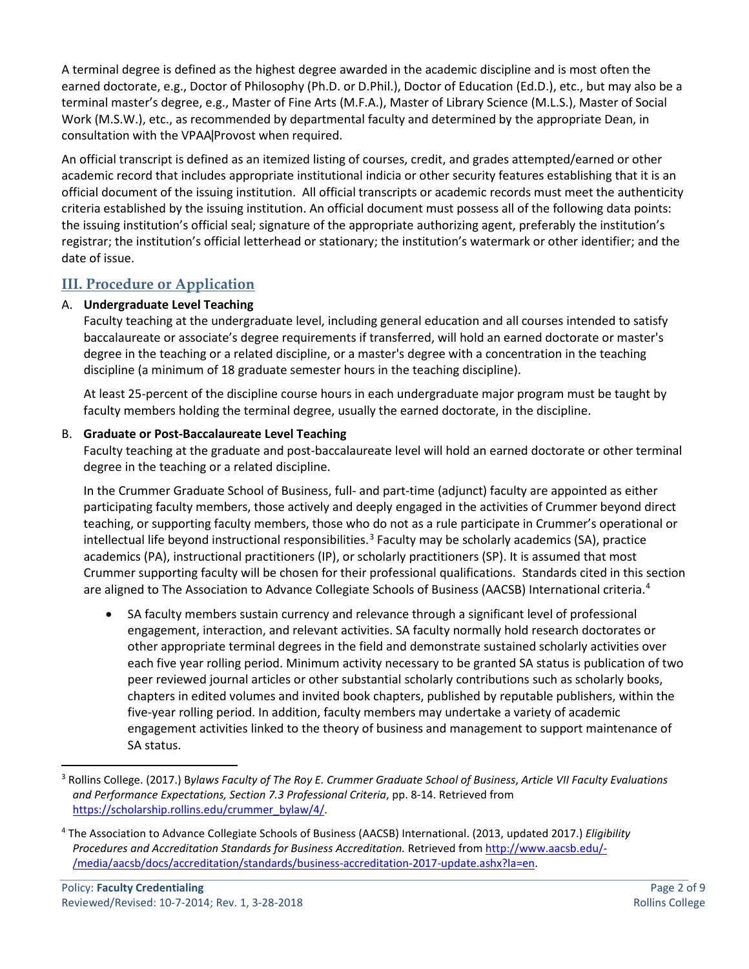A terminal degree is defined as the highest degree awarded in the academic discipline and is most often the earned doctorate, e.g., Doctor of Philosophy (Ph.D. or D.Phil.), Doctor of Education (Ed.D.), etc., but may also be a terminal master's degree, e.g., Master of Fine Arts (M.F.A.), Master of Library Science (M.L.S.), Master of Social Work (M.S.W.), etc., as recommended by departmental faculty and determined by the appropriate Dean, in consultation with the VPAA Provost when required.

An official transcript is defined as an itemized listing of courses, credit, and grades attempted/earned or other academic record that includes appropriate institutional indicia or other security features establishing that it is an official document of the issuing institution. All official transcripts or academic records must meet the authenticity criteria established by the issuing institution. An official document must possess all of the following data points: the issuing institution's official seal; signature of the appropriate authorizing agent, preferably the institution's registrar; the institution's official letterhead or stationary; the institution's watermark or other identifier; and the date of issue.

## **III. Procedure or Application**

## A. **Undergraduate Level Teaching**

Faculty teaching at the undergraduate level, including general education and all courses intended to satisfy baccalaureate or associate's degree requirements if transferred, will hold an earned doctorate or master's degree in the teaching or a related discipline, or a master's degree with a concentration in the teaching discipline (a minimum of 18 graduate semester hours in the teaching discipline).

At least 25-percent of the discipline course hours in each undergraduate major program must be taught by faculty members holding the terminal degree, usually the earned doctorate, in the discipline.

## B. **Graduate or Post-Baccalaureate Level Teaching**

Faculty teaching at the graduate and post-baccalaureate level will hold an earned doctorate or other terminal degree in the teaching or a related discipline.

In the Crummer Graduate School of Business, full- and part-time (adjunct) faculty are appointed as either participating faculty members, those actively and deeply engaged in the activities of Crummer beyond direct teaching, or supporting faculty members, those who do not as a rule participate in Crummer's operational or intellectual life beyond instructional responsibilities.<sup>[3](#page-1-0)</sup> Faculty may be scholarly academics (SA), practice academics (PA), instructional practitioners (IP), or scholarly practitioners (SP). It is assumed that most Crummer supporting faculty will be chosen for their professional qualifications. Standards cited in this section are aligned to The Association to Advance Collegiate Schools of Business (AACSB) International criteria.<sup>[4](#page-1-1)</sup>

• SA faculty members sustain currency and relevance through a significant level of professional engagement, interaction, and relevant activities. SA faculty normally hold research doctorates or other appropriate terminal degrees in the field and demonstrate sustained scholarly activities over each five year rolling period. Minimum activity necessary to be granted SA status is publication of two peer reviewed journal articles or other substantial scholarly contributions such as scholarly books, chapters in edited volumes and invited book chapters, published by reputable publishers, within the five-year rolling period. In addition, faculty members may undertake a variety of academic engagement activities linked to the theory of business and management to support maintenance of SA status.

<span id="page-1-0"></span> <sup>3</sup> Rollins College. (2017.) <sup>B</sup>*ylaws Faculty of The Roy E. Crummer Graduate School of Business*, *Article VII Faculty Evaluations and Performance Expectations, Section 7.3 Professional Criteria*, pp. 8-14. Retrieved from [https://scholarship.rollins.edu/crummer\\_bylaw/4/.](https://scholarship.rollins.edu/crummer_bylaw/4/)

<span id="page-1-1"></span><sup>4</sup> The Association to Advance Collegiate Schools of Business (AACSB) International. (2013, updated 2017.) *Eligibility Procedures and Accreditation Standards for Business Accreditation.* Retrieved from [http://www.aacsb.edu/-](http://www.aacsb.edu/-/media/aacsb/docs/accreditation/standards/business-accreditation-2017-update.ashx?la=en) [/media/aacsb/docs/accreditation/standards/business-accreditation-2017-update.ashx?la=en.](http://www.aacsb.edu/-/media/aacsb/docs/accreditation/standards/business-accreditation-2017-update.ashx?la=en)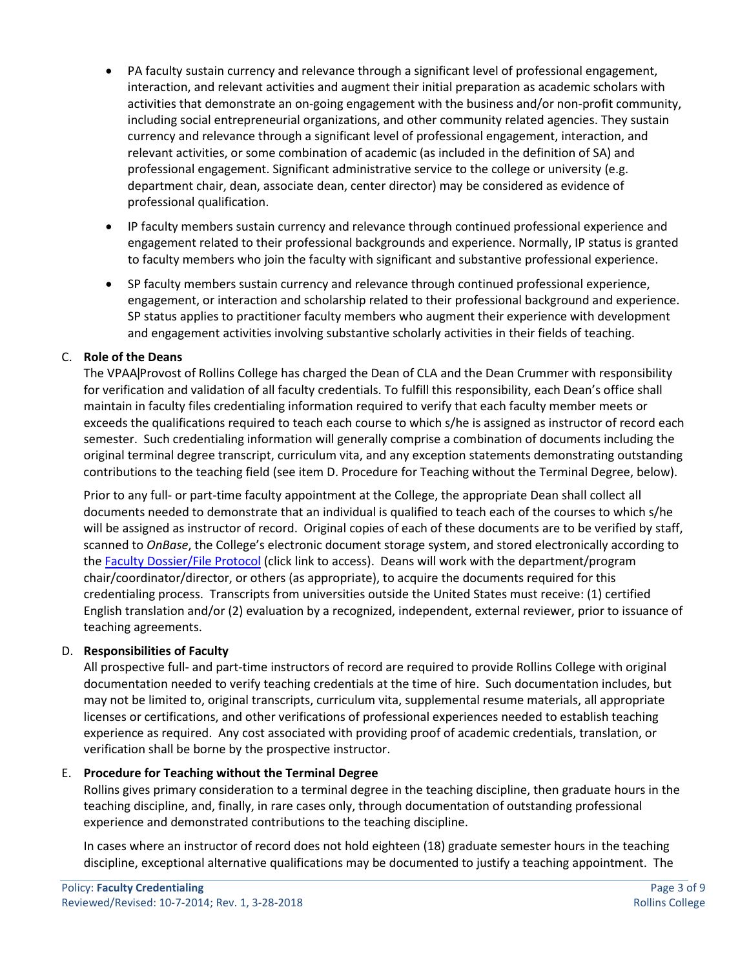- PA faculty sustain currency and relevance through a significant level of professional engagement, interaction, and relevant activities and augment their initial preparation as academic scholars with activities that demonstrate an on-going engagement with the business and/or non-profit community, including social entrepreneurial organizations, and other community related agencies. They sustain currency and relevance through a significant level of professional engagement, interaction, and relevant activities, or some combination of academic (as included in the definition of SA) and professional engagement. Significant administrative service to the college or university (e.g. department chair, dean, associate dean, center director) may be considered as evidence of professional qualification.
- IP faculty members sustain currency and relevance through continued professional experience and engagement related to their professional backgrounds and experience. Normally, IP status is granted to faculty members who join the faculty with significant and substantive professional experience.
- SP faculty members sustain currency and relevance through continued professional experience, engagement, or interaction and scholarship related to their professional background and experience. SP status applies to practitioner faculty members who augment their experience with development and engagement activities involving substantive scholarly activities in their fields of teaching.

## C. **Role of the Deans**

The VPAA | Provost of Rollins College has charged the Dean of CLA and the Dean Crummer with responsibility for verification and validation of all faculty credentials. To fulfill this responsibility, each Dean's office shall maintain in faculty files credentialing information required to verify that each faculty member meets or exceeds the qualifications required to teach each course to which s/he is assigned as instructor of record each semester. Such credentialing information will generally comprise a combination of documents including the original terminal degree transcript, curriculum vita, and any exception statements demonstrating outstanding contributions to the teaching field (see item D. Procedure for Teaching without the Terminal Degree, below).

Prior to any full- or part-time faculty appointment at the College, the appropriate Dean shall collect all documents needed to demonstrate that an individual is qualified to teach each of the courses to which s/he will be assigned as instructor of record. Original copies of each of these documents are to be verified by staff, scanned to *OnBase*, the College's electronic document storage system, and stored electronically according to the [Faculty Dossier/File Protocol](#page-8-0) (click link to access). Deans will work with the department/program chair/coordinator/director, or others (as appropriate), to acquire the documents required for this credentialing process. Transcripts from universities outside the United States must receive: (1) certified English translation and/or (2) evaluation by a recognized, independent, external reviewer, prior to issuance of teaching agreements.

## D. **Responsibilities of Faculty**

All prospective full- and part-time instructors of record are required to provide Rollins College with original documentation needed to verify teaching credentials at the time of hire. Such documentation includes, but may not be limited to, original transcripts, curriculum vita, supplemental resume materials, all appropriate licenses or certifications, and other verifications of professional experiences needed to establish teaching experience as required. Any cost associated with providing proof of academic credentials, translation, or verification shall be borne by the prospective instructor.

## E. **Procedure for Teaching without the Terminal Degree**

Rollins gives primary consideration to a terminal degree in the teaching discipline, then graduate hours in the teaching discipline, and, finally, in rare cases only, through documentation of outstanding professional experience and demonstrated contributions to the teaching discipline.

In cases where an instructor of record does not hold eighteen (18) graduate semester hours in the teaching discipline, exceptional alternative qualifications may be documented to justify a teaching appointment. The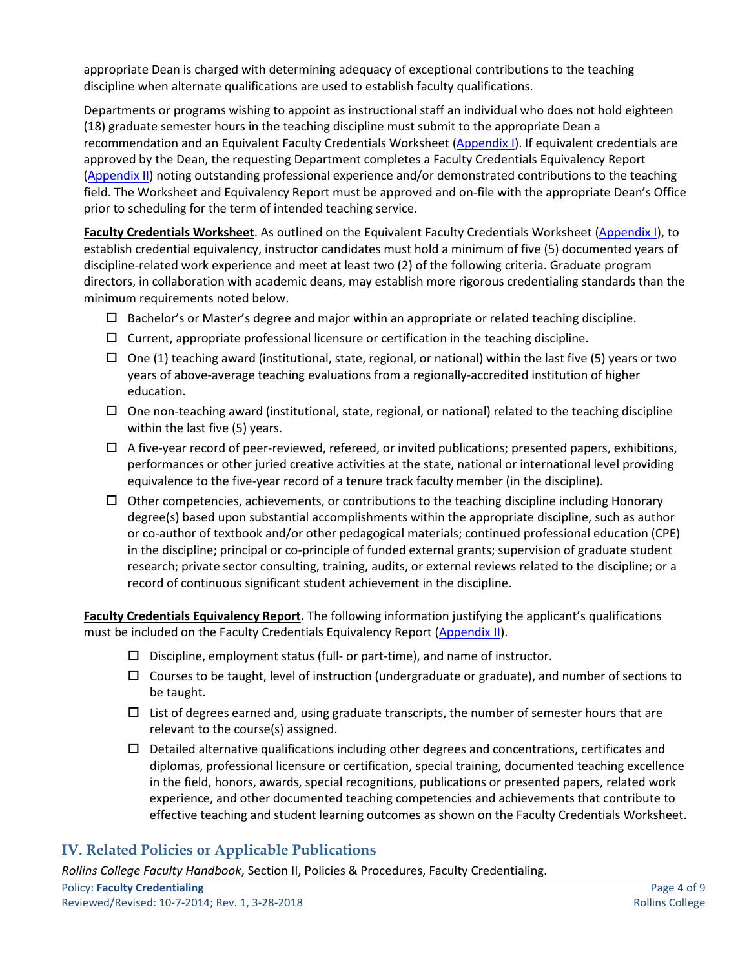appropriate Dean is charged with determining adequacy of exceptional contributions to the teaching discipline when alternate qualifications are used to establish faculty qualifications.

Departments or programs wishing to appoint as instructional staff an individual who does not hold eighteen (18) graduate semester hours in the teaching discipline must submit to the appropriate Dean a recommendation and an Equivalent Faculty Credentials Worksheet [\(Appendix I\)](#page-5-0). If equivalent credentials are approved by the Dean, the requesting Department completes a Faculty Credentials Equivalency Report [\(Appendix II\)](#page-7-0) noting outstanding professional experience and/or demonstrated contributions to the teaching field. The Worksheet and Equivalency Report must be approved and on-file with the appropriate Dean's Office prior to scheduling for the term of intended teaching service.

**Faculty Credentials Worksheet**. As outlined on the Equivalent Faculty Credentials Worksheet [\(Appendix I\)](#page-5-0), to establish credential equivalency, instructor candidates must hold a minimum of five (5) documented years of discipline-related work experience and meet at least two (2) of the following criteria. Graduate program directors, in collaboration with academic deans, may establish more rigorous credentialing standards than the minimum requirements noted below.

- $\Box$  Bachelor's or Master's degree and major within an appropriate or related teaching discipline.
- $\square$  Current, appropriate professional licensure or certification in the teaching discipline.
- $\Box$  One (1) teaching award (institutional, state, regional, or national) within the last five (5) years or two years of above-average teaching evaluations from a regionally-accredited institution of higher education.
- $\Box$  One non-teaching award (institutional, state, regional, or national) related to the teaching discipline within the last five (5) years.
- $\Box$  A five-year record of peer-reviewed, refereed, or invited publications; presented papers, exhibitions, performances or other juried creative activities at the state, national or international level providing equivalence to the five-year record of a tenure track faculty member (in the discipline).
- $\Box$  Other competencies, achievements, or contributions to the teaching discipline including Honorary degree(s) based upon substantial accomplishments within the appropriate discipline, such as author or co-author of textbook and/or other pedagogical materials; continued professional education (CPE) in the discipline; principal or co-principle of funded external grants; supervision of graduate student research; private sector consulting, training, audits, or external reviews related to the discipline; or a record of continuous significant student achievement in the discipline.

**Faculty Credentials Equivalency Report.** The following information justifying the applicant's qualifications must be included on the Faculty Credentials Equivalency Report [\(Appendix II\)](#page-7-0).

- $\square$  Discipline, employment status (full- or part-time), and name of instructor.
- $\Box$  Courses to be taught, level of instruction (undergraduate or graduate), and number of sections to be taught.
- $\Box$  List of degrees earned and, using graduate transcripts, the number of semester hours that are relevant to the course(s) assigned.
- $\Box$  Detailed alternative qualifications including other degrees and concentrations, certificates and diplomas, professional licensure or certification, special training, documented teaching excellence in the field, honors, awards, special recognitions, publications or presented papers, related work experience, and other documented teaching competencies and achievements that contribute to effective teaching and student learning outcomes as shown on the Faculty Credentials Worksheet.

# **IV. Related Policies or Applicable Publications**

*Rollins College Faculty Handbook*, Section II, Policies & Procedures, Faculty Credentialing.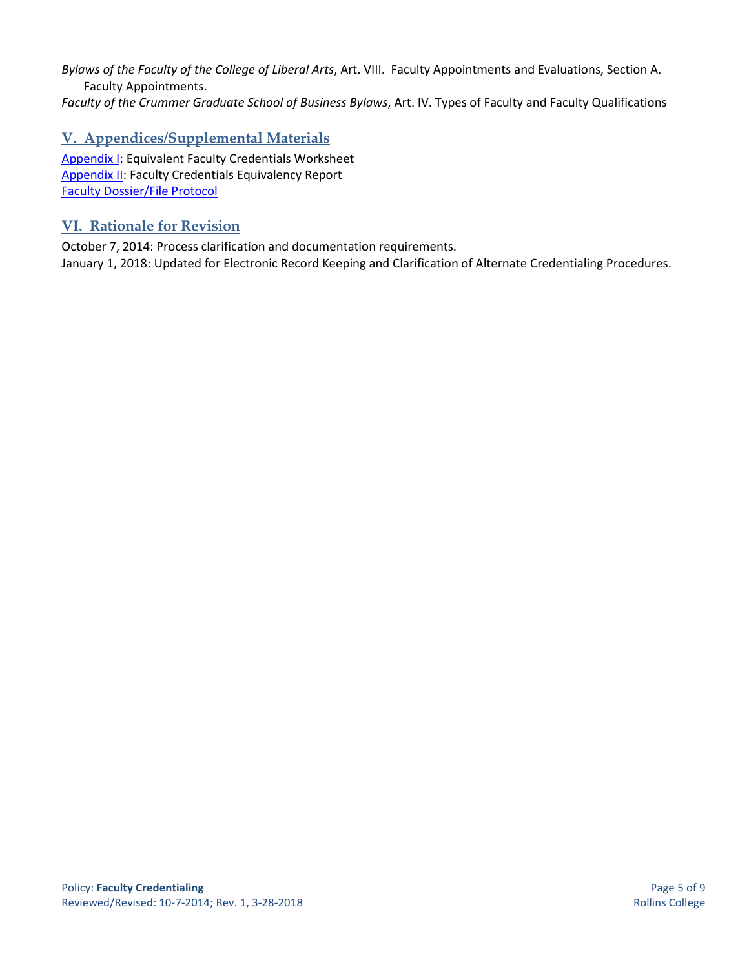*Bylaws of the Faculty of the College of Liberal Arts*, Art. VIII. Faculty Appointments and Evaluations, Section A. Faculty Appointments.

*Faculty of the Crummer Graduate School of Business Bylaws*, Art. IV. Types of Faculty and Faculty Qualifications

# **V. Appendices/Supplemental Materials**

[Appendix I:](#page-5-0) Equivalent Faculty Credentials Worksheet [Appendix II:](#page-7-0) Faculty Credentials Equivalency Report [Faculty Dossier/File Protocol](#page-8-0)

## **VI. Rationale for Revision**

October 7, 2014: Process clarification and documentation requirements. January 1, 2018: Updated for Electronic Record Keeping and Clarification of Alternate Credentialing Procedures.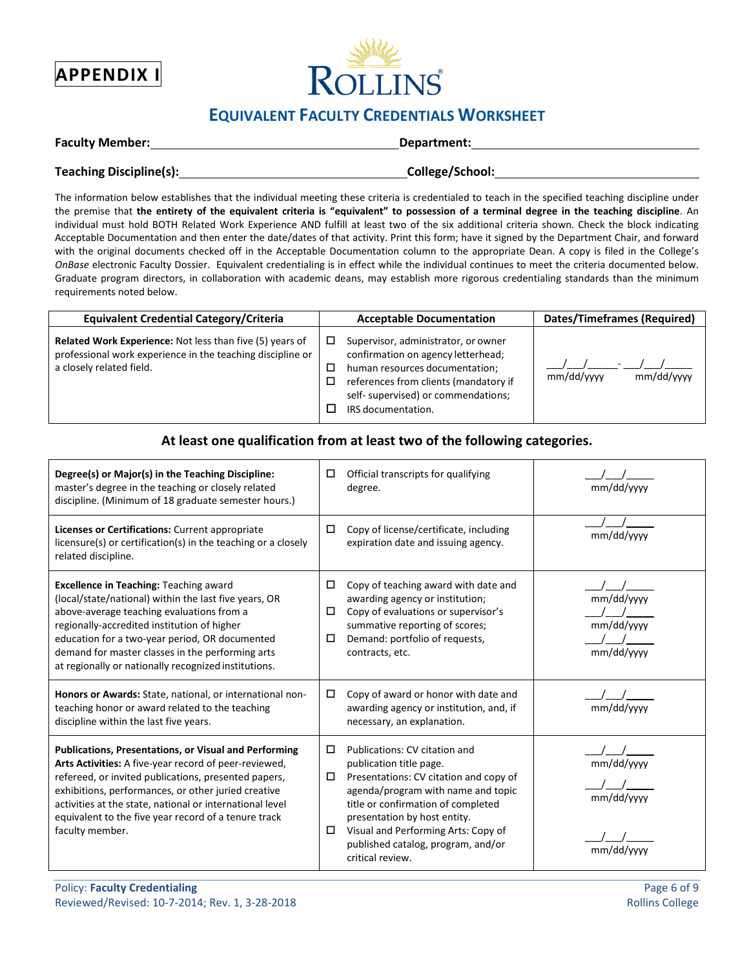<span id="page-5-0"></span>



# **EQUIVALENT FACULTY CREDENTIALS WORKSHEET**

|  | <b>Faculty Member:</b> |
|--|------------------------|
|--|------------------------|

**Department:** 

| Teaching Discipline(s): |  |  |  |
|-------------------------|--|--|--|
|-------------------------|--|--|--|

 $\blacksquare$ College/School:

The information below establishes that the individual meeting these criteria is credentialed to teach in the specified teaching discipline under the premise that **the entirety of the equivalent criteria is "equivalent" to possession of a terminal degree in the teaching discipline**. An individual must hold BOTH Related Work Experience AND fulfill at least two of the six additional criteria shown. Check the block indicating Acceptable Documentation and then enter the date/dates of that activity. Print this form; have it signed by the Department Chair, and forward with the original documents checked off in the Acceptable Documentation column to the appropriate Dean. A copy is filed in the College's *OnBase* electronic Faculty Dossier. Equivalent credentialing is in effect while the individual continues to meet the criteria documented below. Graduate program directors, in collaboration with academic deans, may establish more rigorous credentialing standards than the minimum requirements noted below.

| <b>Equivalent Credential Category/Criteria</b>                                                                                                            | <b>Acceptable Documentation</b>                                                                                                                                                                                   | <b>Dates/Timeframes (Required)</b> |
|-----------------------------------------------------------------------------------------------------------------------------------------------------------|-------------------------------------------------------------------------------------------------------------------------------------------------------------------------------------------------------------------|------------------------------------|
| <b>Related Work Experience: Not less than five (5) years of</b><br>professional work experience in the teaching discipline or<br>a closely related field. | Supervisor, administrator, or owner<br>confirmation on agency letterhead;<br>human resources documentation;<br>references from clients (mandatory if<br>self- supervised) or commendations;<br>IRS documentation. | mm/dd/yyyy<br>mm/dd/vvvv           |

## **At least one qualification from at least two of the following categories.**

| Degree(s) or Major(s) in the Teaching Discipline:<br>master's degree in the teaching or closely related<br>discipline. (Minimum of 18 graduate semester hours.)                                                                                                                                                                                                             | □                     | Official transcripts for qualifying<br>degree.                                                                                                                                                                                                                                                                  | mm/dd/yyyy                             |
|-----------------------------------------------------------------------------------------------------------------------------------------------------------------------------------------------------------------------------------------------------------------------------------------------------------------------------------------------------------------------------|-----------------------|-----------------------------------------------------------------------------------------------------------------------------------------------------------------------------------------------------------------------------------------------------------------------------------------------------------------|----------------------------------------|
| Licenses or Certifications: Current appropriate<br>licensure(s) or certification(s) in the teaching or a closely<br>related discipline.                                                                                                                                                                                                                                     | $\Box$                | Copy of license/certificate, including<br>expiration date and issuing agency.                                                                                                                                                                                                                                   | mm/dd/yyyy                             |
| <b>Excellence in Teaching: Teaching award</b><br>(local/state/national) within the last five years, OR<br>above-average teaching evaluations from a<br>regionally-accredited institution of higher<br>education for a two-year period, OR documented<br>demand for master classes in the performing arts<br>at regionally or nationally recognized institutions.            | 0<br>$\Box$<br>$\Box$ | Copy of teaching award with date and<br>awarding agency or institution;<br>Copy of evaluations or supervisor's<br>summative reporting of scores;<br>Demand: portfolio of requests,<br>contracts, etc.                                                                                                           | mm/dd/yyyy<br>mm/dd/yyyy<br>mm/dd/yyyy |
| Honors or Awards: State, national, or international non-<br>teaching honor or award related to the teaching<br>discipline within the last five years.                                                                                                                                                                                                                       | П.                    | Copy of award or honor with date and<br>awarding agency or institution, and, if<br>necessary, an explanation.                                                                                                                                                                                                   | mm/dd/yyyy                             |
| <b>Publications, Presentations, or Visual and Performing</b><br>Arts Activities: A five-year record of peer-reviewed,<br>refereed, or invited publications, presented papers,<br>exhibitions, performances, or other juried creative<br>activities at the state, national or international level<br>equivalent to the five year record of a tenure track<br>faculty member. | $\Box$<br>$\Box$<br>□ | Publications: CV citation and<br>publication title page.<br>Presentations: CV citation and copy of<br>agenda/program with name and topic<br>title or confirmation of completed<br>presentation by host entity.<br>Visual and Performing Arts: Copy of<br>published catalog, program, and/or<br>critical review. | mm/dd/yyyy<br>mm/dd/yyyy<br>mm/dd/yyy  |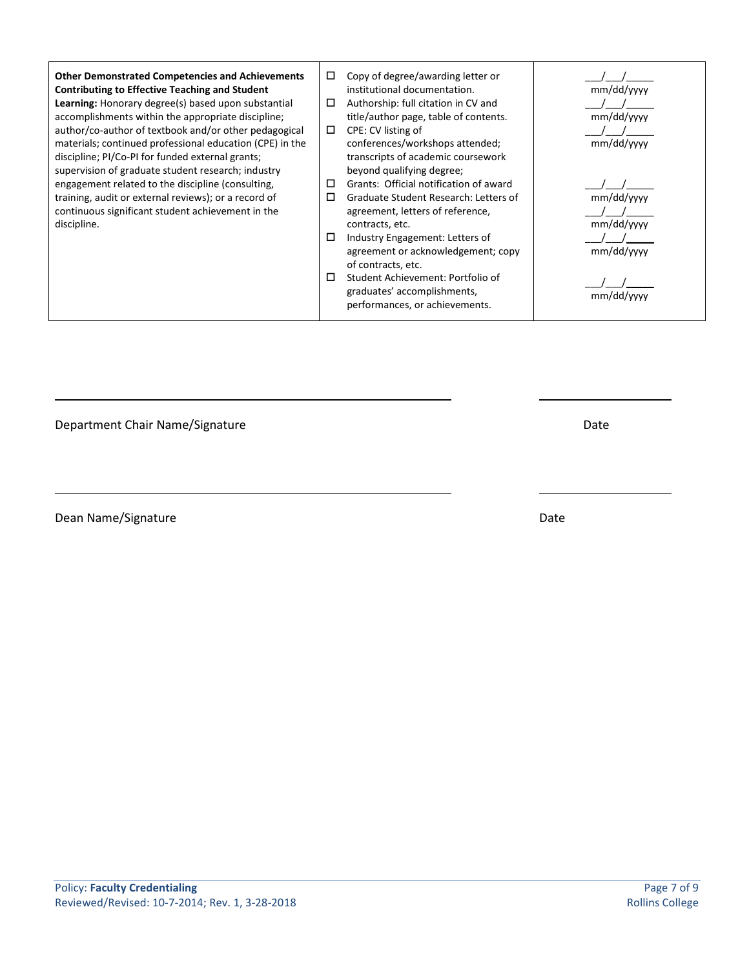| <b>Other Demonstrated Competencies and Achievements</b><br><b>Contributing to Effective Teaching and Student</b>                                                   | □<br>□ | Copy of degree/awarding letter or<br>institutional documentation.                                  | mm/dd/yyyy               |
|--------------------------------------------------------------------------------------------------------------------------------------------------------------------|--------|----------------------------------------------------------------------------------------------------|--------------------------|
| Learning: Honorary degree(s) based upon substantial<br>accomplishments within the appropriate discipline;                                                          |        | Authorship: full citation in CV and<br>title/author page, table of contents.                       | mm/dd/yyyy               |
| author/co-author of textbook and/or other pedagogical                                                                                                              | $\Box$ | CPE: CV listing of                                                                                 |                          |
| materials; continued professional education (CPE) in the<br>discipline; PI/Co-PI for funded external grants;<br>supervision of graduate student research; industry |        | conferences/workshops attended;<br>transcripts of academic coursework<br>beyond qualifying degree; | mm/dd/yyyy               |
| engagement related to the discipline (consulting,                                                                                                                  | □      | Grants: Official notification of award                                                             |                          |
| training, audit or external reviews); or a record of<br>continuous significant student achievement in the<br>discipline.                                           | □      | Graduate Student Research: Letters of<br>agreement, letters of reference,<br>contracts, etc.       | mm/dd/yyyy<br>mm/dd/yyyy |
|                                                                                                                                                                    | □      | Industry Engagement: Letters of<br>agreement or acknowledgement; copy<br>of contracts, etc.        | mm/dd/yyyy               |
|                                                                                                                                                                    | П      | Student Achievement: Portfolio of<br>graduates' accomplishments,<br>performances, or achievements. | mm/dd/vyyy               |

Department Chair Name/Signature data by the control of the Date Date

Dean Name/Signature Date and Date Date Date Date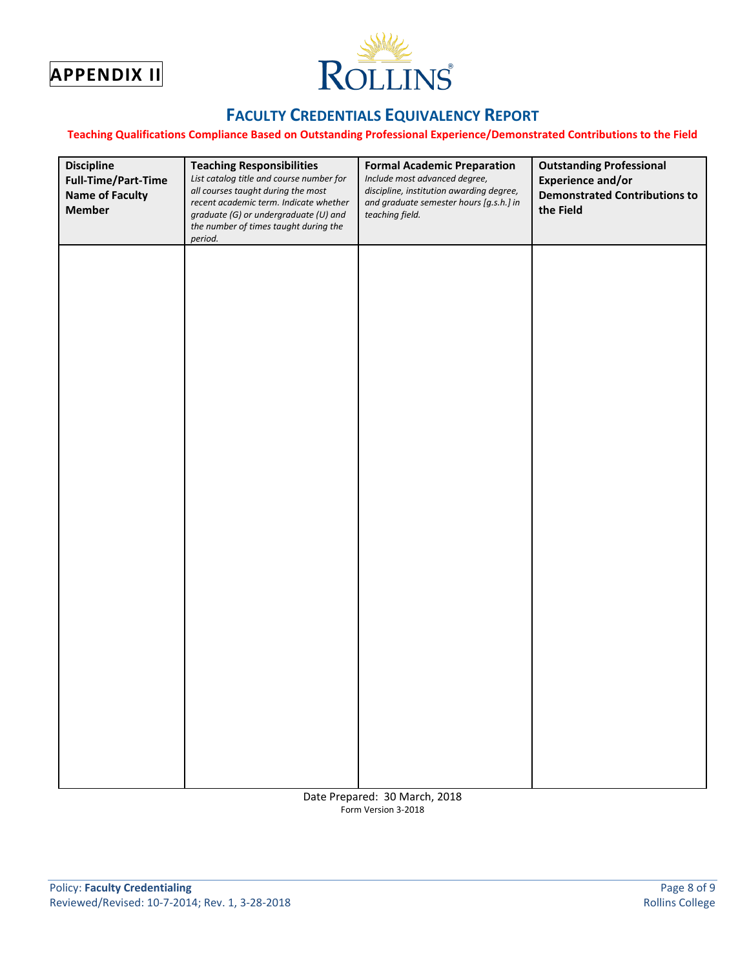<span id="page-7-0"></span>



# **FACULTY CREDENTIALS EQUIVALENCY REPORT**

#### **Teaching Qualifications Compliance Based on Outstanding Professional Experience/Demonstrated Contributions to the Field**

| <b>Discipline</b><br>Full-Time/Part-Time<br><b>Name of Faculty</b><br><b>Member</b> | <b>Teaching Responsibilities</b><br>List catalog title and course number for<br>all courses taught during the most<br>recent academic term. Indicate whether<br>graduate (G) or undergraduate (U) and<br>the number of times taught during the<br>period. | <b>Formal Academic Preparation</b><br>Include most advanced degree,<br>discipline, institution awarding degree,<br>and graduate semester hours [g.s.h.] in<br>teaching field. | <b>Outstanding Professional</b><br><b>Experience and/or</b><br><b>Demonstrated Contributions to</b><br>the Field |
|-------------------------------------------------------------------------------------|-----------------------------------------------------------------------------------------------------------------------------------------------------------------------------------------------------------------------------------------------------------|-------------------------------------------------------------------------------------------------------------------------------------------------------------------------------|------------------------------------------------------------------------------------------------------------------|
|                                                                                     |                                                                                                                                                                                                                                                           |                                                                                                                                                                               |                                                                                                                  |
|                                                                                     |                                                                                                                                                                                                                                                           |                                                                                                                                                                               |                                                                                                                  |
|                                                                                     |                                                                                                                                                                                                                                                           |                                                                                                                                                                               |                                                                                                                  |
|                                                                                     |                                                                                                                                                                                                                                                           |                                                                                                                                                                               |                                                                                                                  |
|                                                                                     |                                                                                                                                                                                                                                                           |                                                                                                                                                                               |                                                                                                                  |
|                                                                                     |                                                                                                                                                                                                                                                           |                                                                                                                                                                               |                                                                                                                  |
|                                                                                     |                                                                                                                                                                                                                                                           |                                                                                                                                                                               |                                                                                                                  |

Date Prepared: 30 March, 2018 Form Version 3-2018